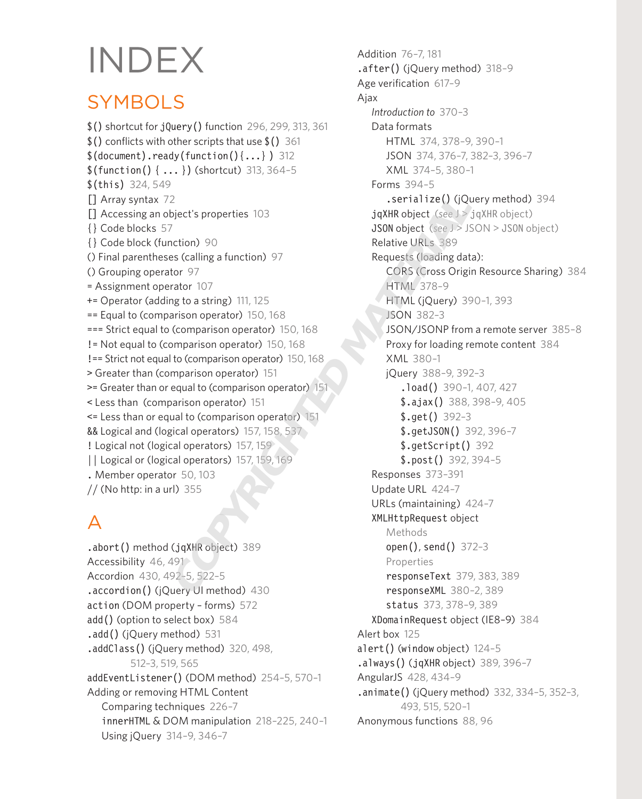# INDEX

# **SYMBOLS**

\$() shortcut for jQuery() function 296, 299, 313, 361 \$() conflicts with other scripts that use \$() 361  $$(document).ready(function()$ ...} ) 312  $$(function() { ... } (shortcut) 313, 364-5)$ \$(this) 324, 549 [] Array syntax 72 [] Accessing an object's properties 103 {} Code blocks 57 {} Code block (function) 90 () Final parentheses (calling a function) 97 () Grouping operator 97 = Assignment operator 107 += Operator (adding to a string) 111, 125 == Equal to (comparison operator) 150, 168 === Strict equal to (comparison operator) 150, 168 != Not equal to (comparison operator) 150, 168 !== Strict not equal to (comparison operator) 150, 168 > Greater than (comparison operator) 151 >= Greater than or equal to (comparison operator) 151 < Less than (comparison operator) 151 <= Less than or equal to (comparison operator) 151 && Logical and (logical operators) 157, 158, 537 ! Logical not (logical operators) 157, 159 || Logical or (logical operators) 157, 159, 169 . Member operator 50, 103  $//$  (No http: in a url) 355 2<br>
ighet's properties 103<br>
7<br>
7<br>
7<br>
7<br>
2000 Decentrical of the USS<br>
89<br>
89 Calling a function) 97<br>
Relative URLs<br>
399<br>
89 Calling a function) 97<br>
Relative URLs<br>
399<br>
Requests (loading dat<br>
16 Comparison operator) 150, 168<br>

# A

.abort() method (jqXHR object) 389 Accessibility 46, 491 Accordion 430, 492–5, 522–5 .accordion() (jQuery UI method) 430 action (DOM property – forms) 572 add() (option to select box) 584 .add() (jQuery method) 531 .addClass() (jQuery method) 320, 498, 512–3, 519, 565 addEventListener() (DOM method) 254–5, 570–1 Adding or removing HTML Content Comparing techniques 226–7 innerHTML & DOM manipulation 218–225, 240–1 Using jQuery 314–9, 346–7

Addition 76–7, 181 .after() (jQuery method) 318–9 Age verification 617–9 Ajax *Introduction to* 370–3 Data formats HTML 374, 378–9, 390–1 JSON 374, 376–7, 382–3, 396–7 XML 374–5, 380–1 Forms 394–5 .serialize() (jQuery method) 394 jqXHR object (*see* J > jqXHR object) JSON object (*see* J > JSON > JSON object) Relative URLs 389 Requests (loading data): CORS (Cross Origin Resource Sharing) 384 HTML 378–9 HTML (jQuery) 390–1, 393 JSON 382–3 JSON/JSONP from a remote server 385–8 Proxy for loading remote content 384 XML 380–1 jQuery 388–9, 392–3 .load() 390-1, 407, 427 \$.ajax() 388, 398–9, 405 \$.get() 392–3 \$.getJSON() 392, 396–7 \$.getScript() 392 \$.post() 392, 394–5 Responses 373–391 Update URL 424–7 URLs (maintaining) 424–7 XMLHttpRequest object Methods open(), send() 372–3 Properties responseText 379, 383, 389 responseXML 380–2, 389 status 373, 378–9, 389 XDomainRequest object (IE8–9) 384 Alert box 125 alert() (window object) 124–5  $.$ always() (jqXHR object) 389, 396-7 AngularJS 428, 434–9 .animate() (jQuery method) 332, 334–5, 352–3, 493, 515, 520–1 Anonymous functions 88, 96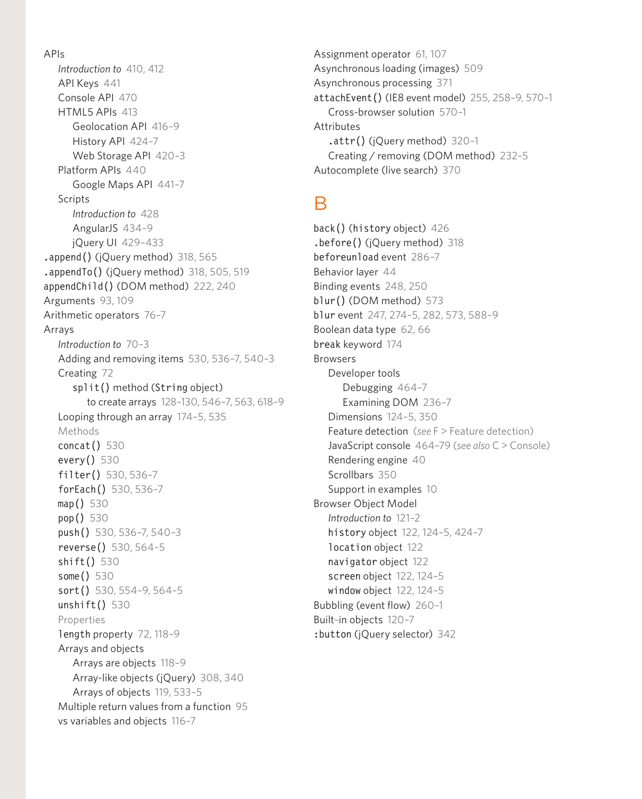APIs *Introduction to* 410, 412 API Keys 441 Console API 470 HTML5 APIs 413 Geolocation API 416–9 History API 424–7 Web Storage API 420–3 Platform APIs 440 Google Maps API 441–7 **Scripts** *Introduction to* 428 AngularJS 434–9 jQuery UI 429–433 .append() (jQuery method) 318, 565 .appendTo() (jQuery method) 318, 505, 519 appendChild() (DOM method) 222, 240 Arguments 93, 109 Arithmetic operators 76–7 Arrays *Introduction to* 70–3 Adding and removing items 530, 536–7, 540–3 Creating 72 split() method (String object) to create arrays 128–130, 546–7, 563, 618–9 Looping through an array 174–5, 535 **Methods** concat() 530 every() 530 filter() 530, 536–7 forEach() 530, 536–7 map() 530 pop() 530 push() 530, 536–7, 540–3 reverse() 530, 564–5 shift() 530 some() 530 sort() 530, 554-9, 564-5 unshift() 530 Properties length property 72, 118–9 Arrays and objects Arrays are objects 118–9 Array-like objects (jQuery) 308, 340 Arrays of objects 119, 533–5 Multiple return values from a function 95 vs variables and objects 116–7

Assignment operator 61, 107 Asynchronous loading (images) 509 Asynchronous processing 371 attachEvent() (IE8 event model) 255, 258–9, 570–1 Cross-browser solution 570–1 Attributes .attr() (jQuery method) 320–1 Creating / removing (DOM method) 232–5 Autocomplete (live search) 370

#### B

back() (history object) 426 .before() (jQuery method) 318 beforeunload event 286–7 Behavior layer 44 Binding events 248, 250 blur() (DOM method) 573 blur event 247, 274–5, 282, 573, 588–9 Boolean data type 62, 66 break keyword 174 Browsers Developer tools Debugging 464–7 Examining DOM 236–7 Dimensions 124–5, 350 Feature detection (*see* F > Feature detection) JavaScript console 464–79 (*see also* C > Console) Rendering engine 40 Scrollbars 350 Support in examples 10 Browser Object Model *Introduction to* 121–2 history object 122, 124–5, 424–7 location object 122 navigator object 122 screen object 122, 124–5 window object 122, 124–5 Bubbling (event flow) 260–1 Built–in objects 120–7 :button (jQuery selector) 342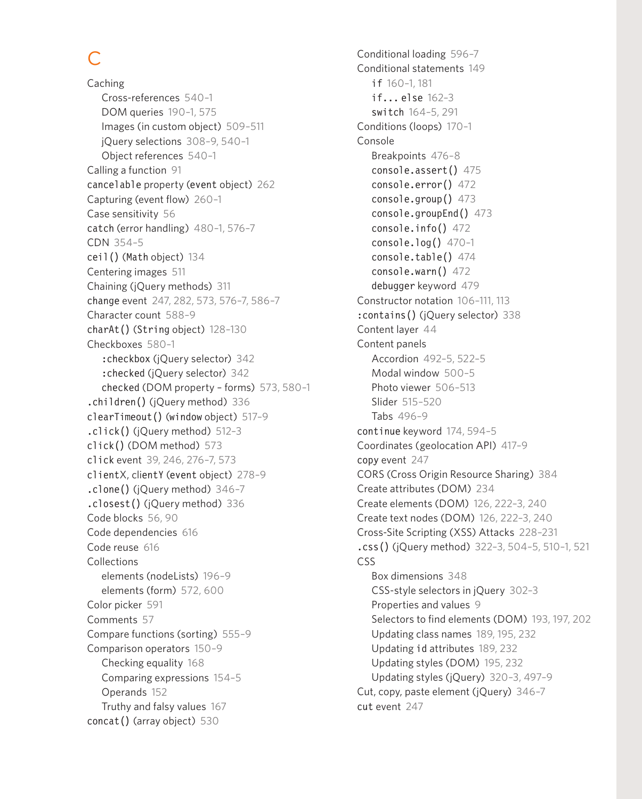# C

Caching Cross-references 540–1 DOM queries 190–1, 575 Images (in custom object) 509–511 jQuery selections 308–9, 540–1 Object references 540–1 Calling a function 91 cancelable property (event object) 262 Capturing (event flow) 260–1 Case sensitivity 56 catch (error handling) 480–1, 576–7 CDN 354–5 ceil() (Math object) 134 Centering images 511 Chaining (jQuery methods) 311 change event 247, 282, 573, 576–7, 586–7 Character count 588–9 charAt() (String object) 128–130 Checkboxes 580–1 :checkbox (jQuery selector) 342 :checked (jQuery selector) 342 checked (DOM property – forms) 573, 580–1 .children() (jQuery method) 336 clearTimeout() (window object) 517–9 .click() (jQuery method) 512–3 click() (DOM method) 573 click event 39, 246, 276–7, 573 clientX, clientY (event object) 278–9 .clone() (jQuery method) 346–7 .closest() (jQuery method) 336 Code blocks 56, 90 Code dependencies 616 Code reuse 616 Collections elements (nodeLists) 196–9 elements (form) 572, 600 Color picker 591 Comments 57 Compare functions (sorting) 555–9 Comparison operators 150–9 Checking equality 168 Comparing expressions 154–5 Operands 152 Truthy and falsy values 167 concat() (array object) 530

Conditional loading 596–7 Conditional statements 149 if 160–1, 181 if... else 162–3 switch 164–5, 291 Conditions (loops) 170–1 Console Breakpoints 476–8 console.assert() 475 console.error() 472  $console, group()$  473 console.groupEnd() 473 console.info() 472 console.log()  $470-1$ console.table() 474 console.warn() 472 debugger keyword 479 Constructor notation 106–111, 113 :contains() (jQuery selector) 338 Content layer 44 Content panels Accordion 492–5, 522–5 Modal window 500–5 Photo viewer 506–513 Slider 515–520 Tabs 496–9 continue keyword 174, 594–5 Coordinates (geolocation API) 417–9 copy event 247 CORS (Cross Origin Resource Sharing) 384 Create attributes (DOM) 234 Create elements (DOM) 126, 222–3, 240 Create text nodes (DOM) 126, 222–3, 240 Cross-Site Scripting (XSS) Attacks 228–231 .css() (jQuery method) 322–3, 504–5, 510–1, 521 CSS Box dimensions 348 CSS-style selectors in jQuery 302–3 Properties and values 9 Selectors to find elements (DOM) 193, 197, 202 Updating class names 189, 195, 232 Updating id attributes 189, 232 Updating styles (DOM) 195, 232 Updating styles (jQuery) 320–3, 497–9 Cut, copy, paste element (jQuery) 346–7 cut event 247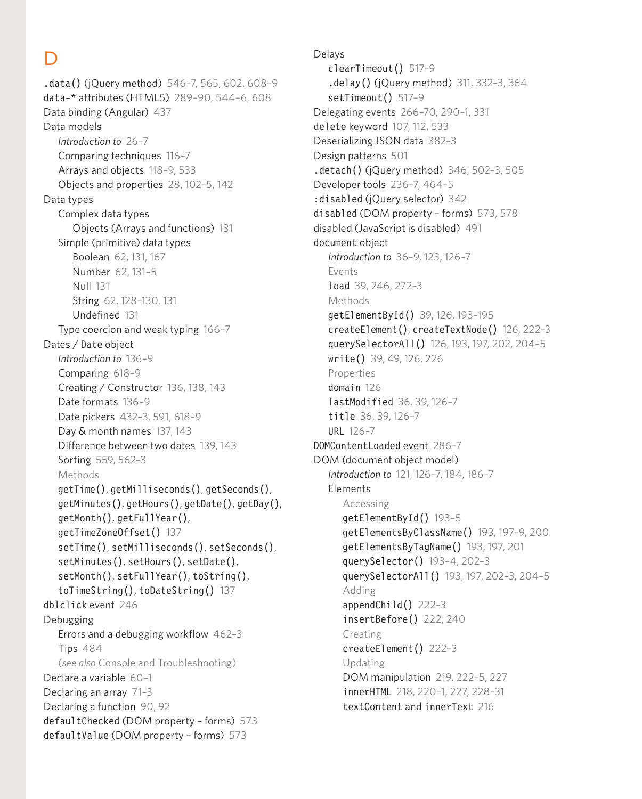## D

.data() (jQuery method) 546–7, 565, 602, 608–9 data-\* attributes (HTML5) 289–90, 544–6, 608 Data binding (Angular) 437 Data models *Introduction to* 26–7 Comparing techniques 116–7 Arrays and objects 118–9, 533 Objects and properties 28, 102–5, 142 Data types Complex data types Objects (Arrays and functions) 131 Simple (primitive) data types Boolean 62, 131, 167 Number 62, 131–5 Null 131 String 62, 128–130, 131 Undefined 131 Type coercion and weak typing 166–7 Dates / Date object *Introduction to* 136–9 Comparing 618–9 Creating / Constructor 136, 138, 143 Date formats 136–9 Date pickers 432–3, 591, 618–9 Day & month names 137, 143 Difference between two dates 139, 143 Sorting 559, 562–3 **Methods** getTime(), getMilliseconds(), getSeconds(), getMinutes(), getHours(), getDate(), getDay(), getMonth(), getFullYear(), getTimeZoneOffset() 137 setTime(), setMilliseconds(), setSeconds(), setMinutes(), setHours(), setDate(), setMonth(), setFullYear(), toString(), toTimeString(), toDateString() 137 dblclick event 246 Debugging Errors and a debugging workflow 462–3 Tips 484 (*see also* Console and Troubleshooting) Declare a variable 60–1 Declaring an array 71–3 Declaring a function 90, 92 defaultChecked (DOM property – forms) 573 defaultValue (DOM property – forms) 573

Delays clearTimeout() 517–9 .delay() (jQuery method) 311, 332–3, 364 setTimeout() 517-9 Delegating events 266–70, 290–1, 331 delete keyword 107, 112, 533 Deserializing JSON data 382–3 Design patterns 501 .detach() (jQuery method) 346, 502–3, 505 Developer tools 236–7, 464–5 :disabled (iOuery selector) 342 disabled (DOM property – forms) 573, 578 disabled (JavaScript is disabled) 491 document object *Introduction to* 36–9, 123, 126–7 Events load 39, 246, 272–3 Methods getElementById() 39, 126, 193–195 createElement(), createTextNode() 126, 222–3 querySelectorAll() 126, 193, 197, 202, 204–5 write() 39, 49, 126, 226 Properties domain 126 lastModified 36, 39, 126–7 title 36, 39, 126–7 URL 126–7 DOMContentLoaded event 286–7 DOM (document object model) *Introduction to* 121, 126–7, 184, 186–7 Elements Accessing getElementById() 193–5 getElementsByClassName() 193, 197–9, 200 getElementsByTagName() 193, 197, 201 querySelector() 193–4, 202–3 querySelectorAll() 193, 197, 202–3, 204–5 Adding appendChild() 222–3 insertBefore() 222, 240 Creating createElement() 222–3 Updating DOM manipulation 219, 222–5, 227 innerHTML 218, 220–1, 227, 228–31 textContent and innerText 216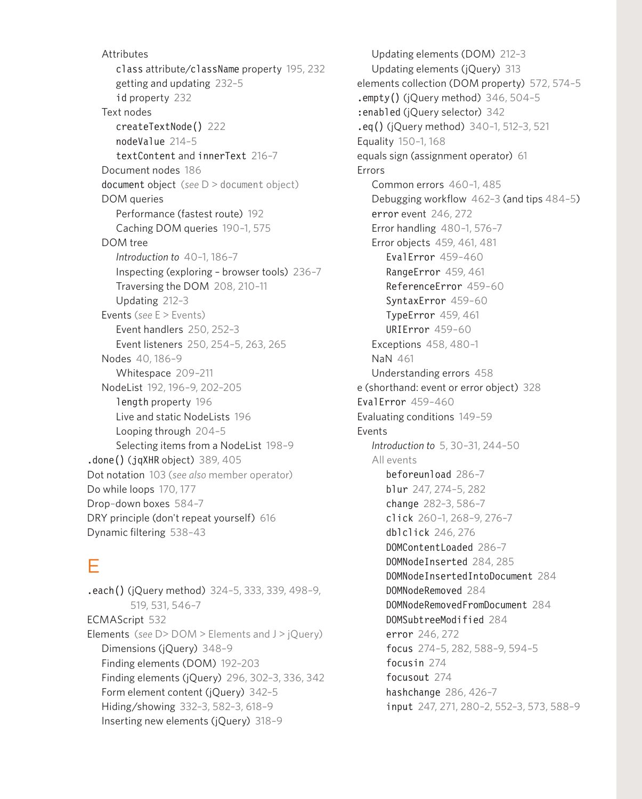**Attributes** class attribute/className property 195, 232 getting and updating 232–5 id property 232 Text nodes createTextNode() 222 nodeValue 214–5 textContent and innerText 216–7 Document nodes 186 document object (*see* D > document object) DOM queries Performance (fastest route) 192 Caching DOM queries 190–1, 575 DOM tree *Introduction to* 40–1, 186–7 Inspecting (exploring – browser tools) 236–7 Traversing the DOM 208, 210–11 Updating 212–3 Events (*see* E > Events) Event handlers 250, 252–3 Event listeners 250, 254–5, 263, 265 Nodes 40, 186–9 Whitespace 209–211 NodeList 192, 196–9, 202–205 length property 196 Live and static NodeLists 196 Looping through 204–5 Selecting items from a NodeList 198–9 .done() (jqXHR object) 389, 405 Dot notation 103 (*see also* member operator) Do while loops 170, 177 Drop–down boxes 584–7 DRY principle (don't repeat yourself) 616 Dynamic filtering 538–43

# E

.each() (jQuery method) 324–5, 333, 339, 498–9, 519, 531, 546–7 ECMAScript 532 Elements (*see* D> DOM > Elements and J > jQuery) Dimensions (jQuery) 348–9 Finding elements (DOM) 192–203 Finding elements (jQuery) 296, 302–3, 336, 342 Form element content (jQuery) 342–5 Hiding/showing 332–3, 582–3, 618–9 Inserting new elements (jQuery) 318–9

Updating elements (DOM) 212–3 Updating elements (iQuery) 313 elements collection (DOM property) 572, 574–5  $\text{empty}()$  (jQuery method) 346, 504-5 :enabled (jQuery selector) 342 .eq() (jQuery method) 340–1, 512–3, 521 Equality 150–1, 168 equals sign (assignment operator) 61 Errors Common errors 460–1, 485 Debugging workflow 462–3 (and tips 484–5) error event 246, 272 Error handling 480–1, 576–7 Error objects 459, 461, 481 EvalError 459–460 RangeError 459, 461 ReferenceError 459–60 SyntaxError 459–60 TypeError 459, 461 URIError 459–60 Exceptions 458, 480–1 NaN 461 Understanding errors 458 e (shorthand: event or error object) 328 EvalError 459–460 Evaluating conditions 149–59 Events *Introduction to* 5, 30–31, 244–50 All events beforeunload 286–7 blur 247, 274–5, 282 change 282–3, 586–7 click 260–1, 268–9, 276–7 dblclick 246, 276 DOMContentLoaded 286–7 DOMNodeInserted 284, 285 DOMNodeInsertedIntoDocument 284 DOMNodeRemoved 284 DOMNodeRemovedFromDocument 284 DOMSubtreeModified 284 error 246, 272 focus 274–5, 282, 588–9, 594–5 focusin 274 focusout 274 hashchange 286, 426–7 input 247, 271, 280–2, 552–3, 573, 588–9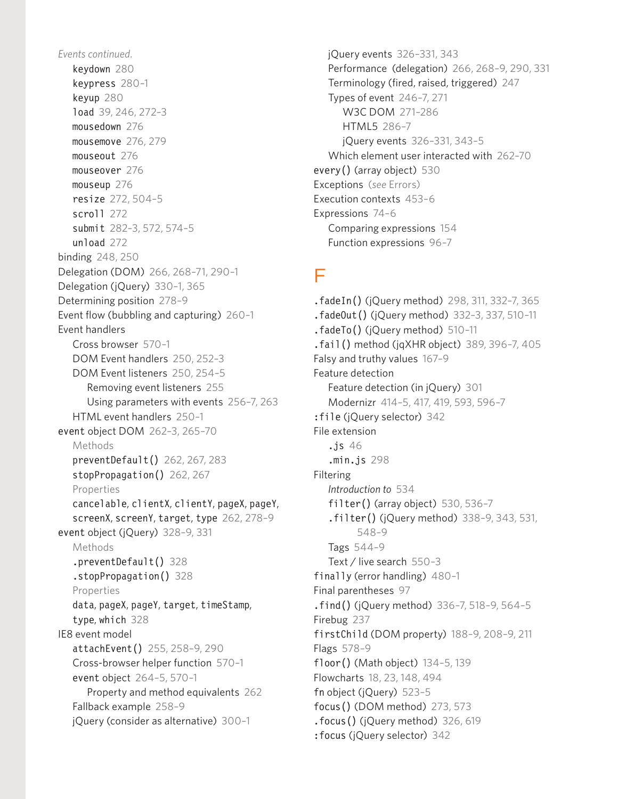*Events continued.* keydown 280 keypress 280–1 keyup 280 load 39, 246, 272–3 mousedown 276 mousemove 276, 279 mouseout 276 mouseover 276 mouseup 276 resize 272, 504–5 scroll 272 submit 282–3, 572, 574–5 unload 272 binding 248, 250 Delegation (DOM) 266, 268–71, 290–1 Delegation (jQuery) 330–1, 365 Determining position 278–9 Event flow (bubbling and capturing) 260–1 Event handlers Cross browser 570–1 DOM Event handlers 250, 252–3 DOM Event listeners 250, 254–5 Removing event listeners 255 Using parameters with events 256–7, 263 HTML event handlers 250–1 event object DOM 262–3, 265–70 Methods preventDefault() 262, 267, 283 stopPropagation() 262, 267 Properties cancelable, clientX, clientY, pageX, pageY, screenX, screenY, target, type 262, 278–9 event object (jQuery) 328–9, 331 **Methods** .preventDefault() 328 .stopPropagation() 328 Properties data, pageX, pageY, target, timeStamp, type, which 328 IE8 event model attachEvent() 255, 258–9, 290 Cross-browser helper function 570–1 event object 264–5, 570–1 Property and method equivalents 262 Fallback example 258–9 jQuery (consider as alternative) 300–1

jQuery events 326–331, 343 Performance (delegation) 266, 268–9, 290, 331 Terminology (fired, raised, triggered) 247 Types of event 246–7, 271 W3C DOM 271–286 HTML5 286–7 jQuery events 326–331, 343–5 Which element user interacted with 262–70 every() (array object) 530 Exceptions (*see* Errors) Execution contexts 453–6 Expressions 74–6 Comparing expressions 154 Function expressions 96–7

#### F

.fadeIn() (jQuery method) 298, 311, 332–7, 365 .fadeOut() (jQuery method) 332–3, 337, 510–11 .fadeTo() (jQuery method) 510–11 .fail() method (jqXHR object) 389, 396–7, 405 Falsy and truthy values 167–9 Feature detection Feature detection (in jQuery) 301 Modernizr 414–5, 417, 419, 593, 596–7 :file (jQuery selector) 342 File extension .js 46 .min.js 298 Filtering *Introduction to* 534 filter() (array object) 530, 536-7 .filter() (jQuery method) 338–9, 343, 531, 548–9 Tags 544–9 Text / live search 550–3 finally (error handling) 480–1 Final parentheses 97 .find() (jQuery method) 336–7, 518–9, 564–5 Firebug 237 firstChild (DOM property) 188–9, 208–9, 211 Flags 578–9 floor() (Math object) 134–5, 139 Flowcharts 18, 23, 148, 494 fn object (jQuery) 523–5 focus() (DOM method) 273, 573  $footnotesize$  focus() (jQuery method) 326, 619

:focus (jQuery selector) 342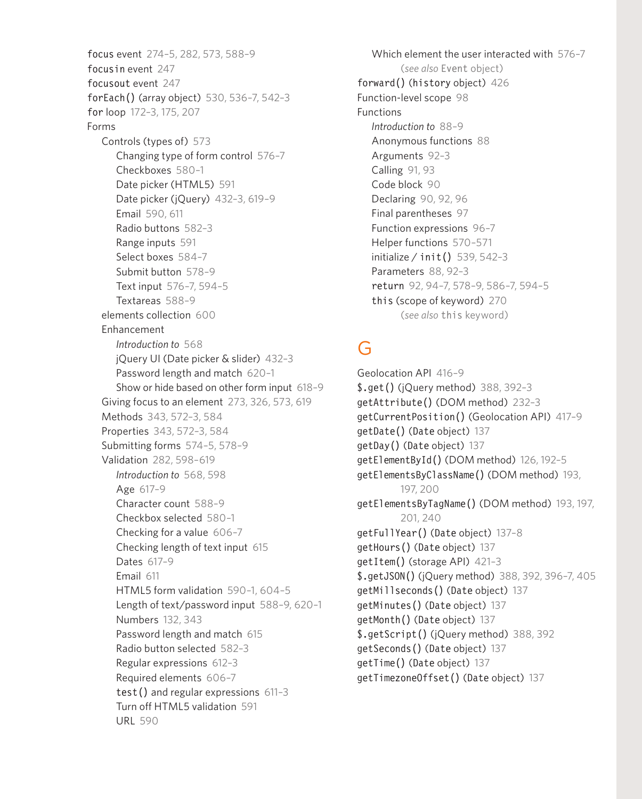focus event 274–5, 282, 573, 588–9 focusin event 247 focusout event 247 forEach() (array object) 530, 536–7, 542–3 for loop 172–3, 175, 207 Forms Controls (types of) 573 Changing type of form control 576–7 Checkboxes 580–1 Date picker (HTML5) 591 Date picker (jQuery) 432–3, 619–9 Email 590, 611 Radio buttons 582–3 Range inputs 591 Select boxes 584–7 Submit button 578–9 Text input 576–7, 594–5 Textareas 588–9 elements collection 600 Enhancement *Introduction to* 568 jQuery UI (Date picker & slider) 432–3 Password length and match 620–1 Show or hide based on other form input 618–9 Giving focus to an element 273, 326, 573, 619 Methods 343, 572–3, 584 Properties 343, 572–3, 584 Submitting forms 574–5, 578–9 Validation 282, 598–619 *Introduction to* 568, 598 Age 617–9 Character count 588–9 Checkbox selected 580–1 Checking for a value 606–7 Checking length of text input 615 Dates 617–9 Email 611 HTML5 form validation 590–1, 604–5 Length of text/password input 588–9, 620–1 Numbers 132, 343 Password length and match 615 Radio button selected 582–3 Regular expressions 612–3 Required elements 606–7 test() and regular expressions 611–3 Turn off HTML5 validation 591 URL 590

Which element the user interacted with 576–7 (*see also* Event object) forward() (history object) 426 Function-level scope 98 Functions *Introduction to* 88–9 Anonymous functions 88 Arguments 92–3 Calling 91, 93 Code block 90 Declaring 90, 92, 96 Final parentheses 97 Function expressions 96–7 Helper functions 570–571 initialize / init() 539, 542–3 Parameters 88, 92–3 return 92, 94–7, 578–9, 586–7, 594–5 this (scope of keyword) 270 (*see also* this keyword)

# G

Geolocation API 416–9 \$.get() (jQuery method) 388, 392–3 getAttribute() (DOM method) 232–3 getCurrentPosition() (Geolocation API) 417–9 getDate() (Date object) 137 getDay() (Date object) 137 getElementById() (DOM method) 126, 192–5 getElementsByClassName() (DOM method) 193, 197, 200 getElementsByTagName() (DOM method) 193, 197, 201, 240 getFullYear() (Date object) 137–8 getHours() (Date object) 137 getItem() (storage API) 421–3 \$.getJSON() (jQuery method) 388, 392, 396–7, 405 getMillseconds() (Date object) 137 getMinutes() (Date object) 137 getMonth() (Date object) 137 \$.getScript() (jQuery method) 388, 392 getSeconds() (Date object) 137 getTime() (Date object) 137 getTimezoneOffset() (Date object) 137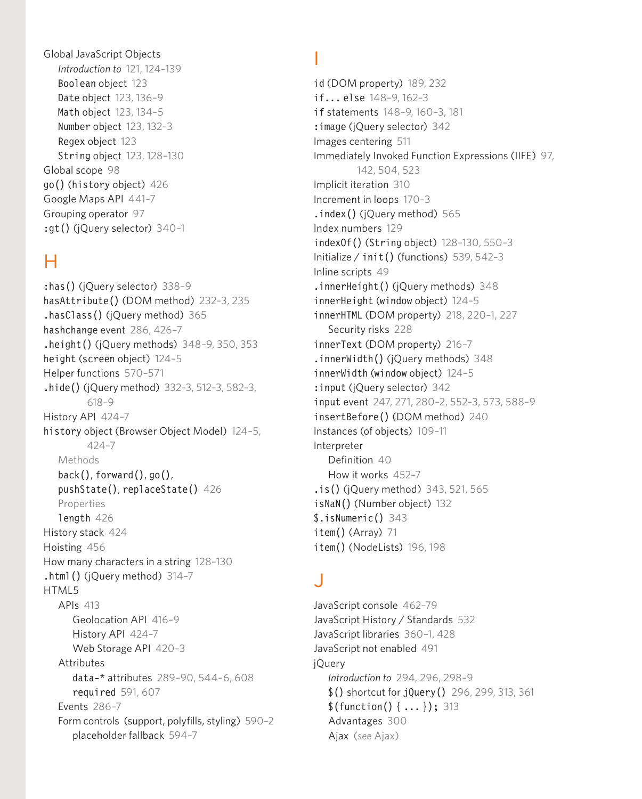Global JavaScript Objects *Introduction to* 121, 124–139 Boolean object 123 Date object 123, 136–9 Math object 123, 134–5 Number object 123, 132–3 Regex object 123 String object 123, 128–130 Global scope 98 go() (history object) 426 Google Maps API 441–7 Grouping operator 97 :gt() (jQuery selector) 340–1

#### H

:has () (jQuery selector) 338-9 hasAttribute() (DOM method) 232–3, 235 .hasClass() (jQuery method) 365 hashchange event 286, 426–7 .height() (jQuery methods) 348–9, 350, 353 height (screen object) 124–5 Helper functions 570–571 .hide() (jQuery method) 332–3, 512–3, 582–3, 618–9 History API 424–7 history object (Browser Object Model) 124–5, 424–7 Methods back(), forward(), go(), pushState(), replaceState() 426 Properties length 426 History stack 424 Hoisting 456 How many characters in a string 128–130 .html() (jQuery method) 314–7 HTML5 APIs 413 Geolocation API 416–9 History API 424–7 Web Storage API 420–3 **Attributes** data-\* attributes 289–90, 544–6, 608 required 591, 607 Events 286–7 Form controls (support, polyfills, styling) 590–2 placeholder fallback 594–7

#### I

id (DOM property) 189, 232 if... else 148–9, 162–3 if statements 148–9, 160–3, 181 :image (jQuery selector) 342 Images centering 511 Immediately Invoked Function Expressions (IIFE) 97, 142, 504, 523 Implicit iteration 310 Increment in loops 170–3 .index() (jQuery method) 565 Index numbers 129 indexOf() (String object) 128–130, 550–3 Initialize / init() (functions) 539, 542–3 Inline scripts 49 .innerHeight() (jQuery methods) 348 innerHeight (window object) 124–5 innerHTML (DOM property) 218, 220–1, 227 Security risks 228 innerText (DOM property) 216–7 .innerWidth() (jQuery methods) 348 innerWidth (window object) 124–5 :input (jQuery selector) 342 input event 247, 271, 280–2, 552–3, 573, 588–9 insertBefore() (DOM method) 240 Instances (of objects) 109–11 Interpreter Definition 40 How it works 452–7 .is() (jQuery method) 343, 521, 565 isNaN() (Number object) 132 \$.isNumeric() 343 item() (Array) 71 item() (NodeLists) 196, 198

## J

JavaScript console 462–79 JavaScript History / Standards 532 JavaScript libraries 360–1, 428 JavaScript not enabled 491 jQuery *Introduction to* 294, 296, 298–9 \$() shortcut for jQuery() 296, 299, 313, 361 \$(function() { ... }); 313 Advantages 300 Ajax (*see* Ajax)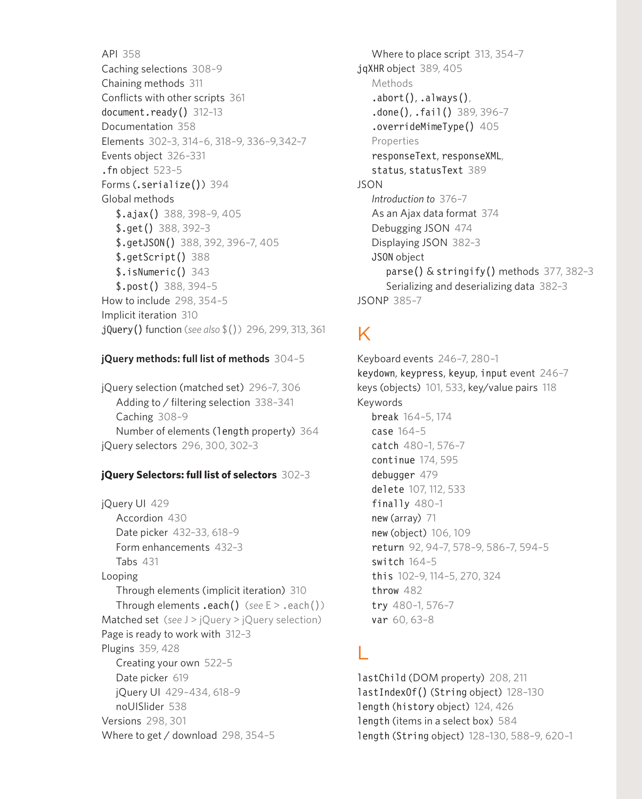API 358 Caching selections 308–9 Chaining methods 311 Conflicts with other scripts 361 document.ready() 312–13 Documentation 358 Elements 302–3, 314–6, 318–9, 336–9,342–7 Events object 326–331 .fn object 523–5 Forms (.serialize()) 394 Global methods \$.ajax() 388, 398–9, 405 \$.get() 388, 392–3 \$.getJSON() 388, 392, 396–7, 405 \$.getScript() 388 \$.isNumeric() 343 \$.post() 388, 394–5 How to include 298, 354–5 Implicit iteration 310 jQuery() function (*see also* \$()) 296, 299, 313, 361

#### **jQuery methods: full list of methods** 304–5

jQuery selection (matched set) 296–7, 306 Adding to / filtering selection 338–341 Caching 308–9 Number of elements (length property) 364 jQuery selectors 296, 300, 302–3

#### **jQuery Selectors: full list of selectors** 302–3

jQuery UI 429 Accordion 430 Date picker 432–33, 618–9 Form enhancements 432–3 Tabs 431 Looping Through elements (implicit iteration) 310 Through elements .each() (*see* E > .each()) Matched set (*see* J > jQuery > jQuery selection) Page is ready to work with 312–3 Plugins 359, 428 Creating your own 522–5 Date picker 619 jQuery UI 429–434, 618–9 noUISlider 538 Versions 298, 301 Where to get / download 298, 354–5

Where to place script 313, 354–7 jqXHR object 389, 405 Methods  $abort()$ ,  $always()$ ,  $.done()$ ,  $.fail()$  389, 396-7 .overrideMimeType() 405 Properties responseText, responseXML, status, statusText 389 JSON *Introduction to* 376–7 As an Ajax data format 374 Debugging JSON 474 Displaying JSON 382–3 JSON object parse() & stringify() methods 377, 382–3 Serializing and deserializing data 382–3 JSONP 385–7

#### K

Keyboard events 246–7, 280–1 keydown, keypress, keyup, input event 246–7 keys (objects) 101, 533, key/value pairs 118 Keywords break 164–5, 174 case 164–5 catch 480–1, 576–7 continue 174, 595 debugger 479 delete 107, 112, 533 finally 480–1 new (array) 71 new (object) 106, 109 return 92, 94–7, 578–9, 586–7, 594–5 switch 164–5 this 102–9, 114–5, 270, 324 throw 482 try 480–1, 576–7 var 60, 63–8

#### L

lastChild (DOM property) 208, 211 lastIndexOf() (String object) 128–130 length (history object) 124, 426 length (items in a select box) 584 length (String object) 128–130, 588–9, 620–1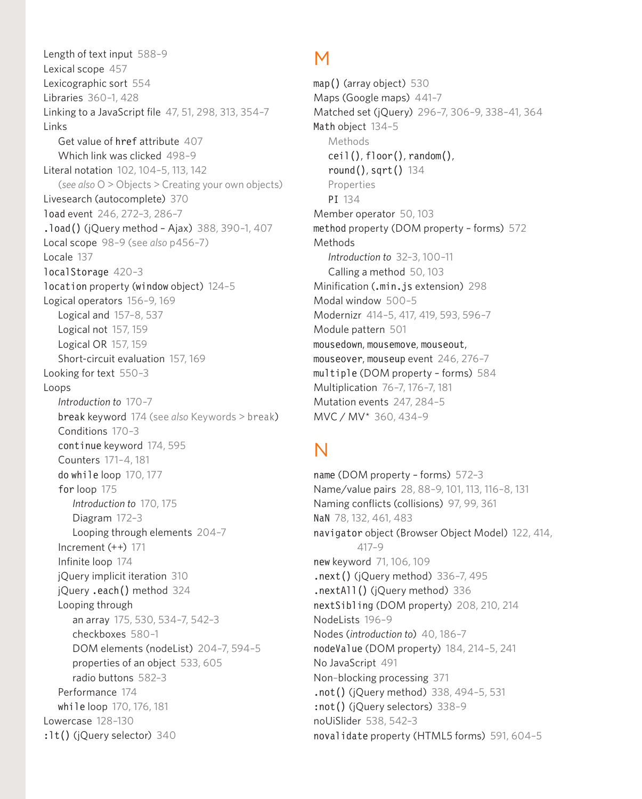Length of text input 588–9 Lexical scope 457 Lexicographic sort 554 Libraries 360–1, 428 Linking to a JavaScript file 47, 51, 298, 313, 354–7 Links Get value of href attribute 407 Which link was clicked 498–9 Literal notation 102, 104–5, 113, 142 (*see also* O > Objects > Creating your own objects) Livesearch (autocomplete) 370 load event 246, 272–3, 286–7 .load() (jQuery method – Ajax) 388, 390–1, 407 Local scope 98–9 (see *also* p456–7) Locale 137 localStorage 420–3 location property (window object) 124–5 Logical operators 156–9, 169 Logical and 157–8, 537 Logical not 157, 159 Logical OR 157, 159 Short-circuit evaluation 157, 169 Looking for text 550–3 Loops *Introduction to* 170–7 break keyword 174 (see *also* Keywords > break) Conditions 170–3 continue keyword 174, 595 Counters 171–4, 181 do while loop 170, 177 for loop 175 *Introduction to* 170, 175 Diagram 172–3 Looping through elements 204–7 Increment (++) 171 Infinite loop 174 jQuery implicit iteration 310 jQuery .each() method 324 Looping through an array 175, 530, 534–7, 542–3 checkboxes 580–1 DOM elements (nodeList) 204–7, 594–5 properties of an object 533, 605 radio buttons 582–3 Performance 174 while loop 170, 176, 181 Lowercase 128–130 :lt() (jQuery selector) 340

#### M

map() (array object) 530 Maps (Google maps) 441–7 Matched set (jQuery) 296–7, 306–9, 338–41, 364 Math object 134–5 Methods ceil(), floor(), random(), round $()$ , sqrt $()$  134 Properties PI 134 Member operator 50, 103 method property (DOM property – forms) 572 Methods *Introduction to* 32–3, 100–11 Calling a method 50, 103 Minification (.min.js extension) 298 Modal window 500–5 Modernizr 414–5, 417, 419, 593, 596–7 Module pattern 501 mousedown, mousemove, mouseout, mouseover, mouseup event 246, 276–7 multiple (DOM property – forms) 584 Multiplication 76–7, 176–7, 181 Mutation events 247, 284–5 MVC / MV\* 360, 434–9

# N

name (DOM property – forms) 572–3 Name/value pairs 28, 88–9, 101, 113, 116–8, 131 Naming conflicts (collisions) 97, 99, 361 NaN 78, 132, 461, 483 navigator object (Browser Object Model) 122, 414, 417–9 new keyword 71, 106, 109  $.next()$  (jQuery method) 336-7, 495 .nextAll() (jQuery method) 336 nextSibling (DOM property) 208, 210, 214 NodeLists 196–9 Nodes (*introduction to*) 40, 186–7 nodeValue (DOM property) 184, 214–5, 241 No JavaScript 491 Non–blocking processing 371 .not() (jQuery method) 338, 494–5, 531 :not() (jQuery selectors) 338–9 noUiSlider 538, 542–3 novalidate property (HTML5 forms) 591, 604–5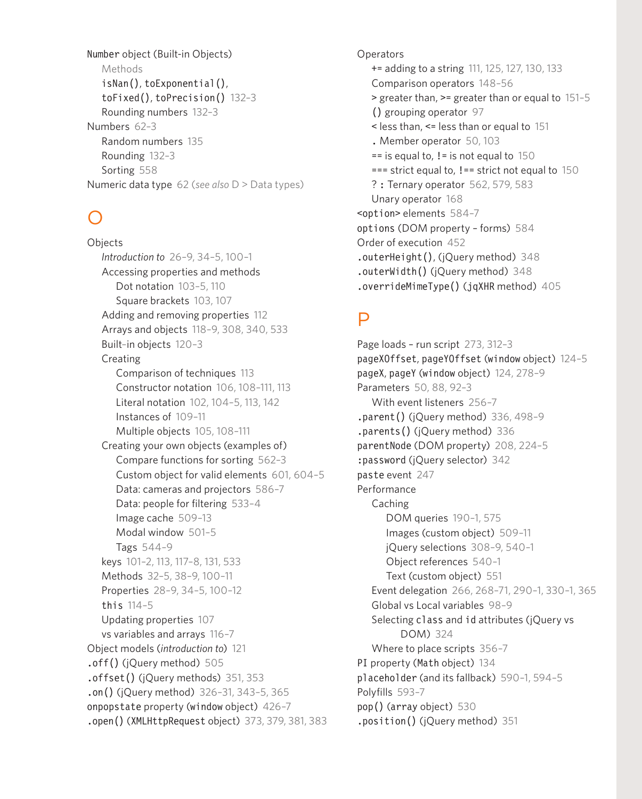Number object (Built-in Objects) Methods isNan(), toExponential(), toFixed(), toPrecision() 132–3 Rounding numbers 132–3 Numbers 62–3 Random numbers 135 Rounding 132–3 Sorting 558 Numeric data type 62 (*see also* D > Data types)

# O

**Objects** *Introduction to* 26–9, 34–5, 100–1 Accessing properties and methods Dot notation 103–5, 110 Square brackets 103, 107 Adding and removing properties 112 Arrays and objects 118–9, 308, 340, 533 Built–in objects 120–3 Creating Comparison of techniques 113 Constructor notation 106, 108–111, 113 Literal notation 102, 104–5, 113, 142 Instances of 109–11 Multiple objects 105, 108–111 Creating your own objects (examples of) Compare functions for sorting 562–3 Custom object for valid elements 601, 604–5 Data: cameras and projectors 586–7 Data: people for filtering 533–4 Image cache 509–13 Modal window 501–5 Tags 544–9 keys 101–2, 113, 117–8, 131, 533 Methods 32–5, 38–9, 100–11 Properties 28–9, 34–5, 100–12 this 114–5 Updating properties 107 vs variables and arrays 116–7 Object models (*introduction to*) 121 .off() (jQuery method) 505 .offset() (jQuery methods) 351, 353 .on() (jQuery method) 326–31, 343–5, 365 onpopstate property (window object) 426–7 .open() (XMLHttpRequest object) 373, 379, 381, 383 **Operators** += adding to a string 111, 125, 127, 130, 133 Comparison operators 148–56 > greater than, >= greater than or equal to 151–5 () grouping operator 97 < less than, <= less than or equal to 151 . Member operator 50, 103  $==$  is equal to,  $!=$  is not equal to 150  $==$  strict equal to,  $!=$   $=$  strict not equal to 150 ? : Ternary operator 562, 579, 583 Unary operator 168 <option> elements 584–7 options (DOM property – forms) 584 Order of execution 452 .outerHeight(), (jQuery method) 348 .outerWidth() (jQuery method) 348 .overrideMimeType() (jqXHR method) 405

#### $\mathsf{D}$

Page loads – run script 273, 312–3 pageXOffset, pageYOffset (window object) 124–5 pageX, pageY (window object) 124, 278–9 Parameters 50, 88, 92–3 With event listeners 256–7 .parent() (jQuery method) 336, 498–9 .parents() (jQuery method) 336 parentNode (DOM property) 208, 224–5 :password (jQuery selector) 342 paste event 247 Performance Caching DOM queries 190–1, 575 Images (custom object) 509–11 jQuery selections 308–9, 540–1 Object references 540–1 Text (custom object) 551 Event delegation 266, 268–71, 290–1, 330–1, 365 Global vs Local variables 98–9 Selecting class and id attributes (jQuery vs DOM) 324 Where to place scripts 356–7 PI property (Math object) 134 placeholder (and its fallback) 590–1, 594–5 Polyfills 593–7 pop() (array object) 530 .position() (jQuery method) 351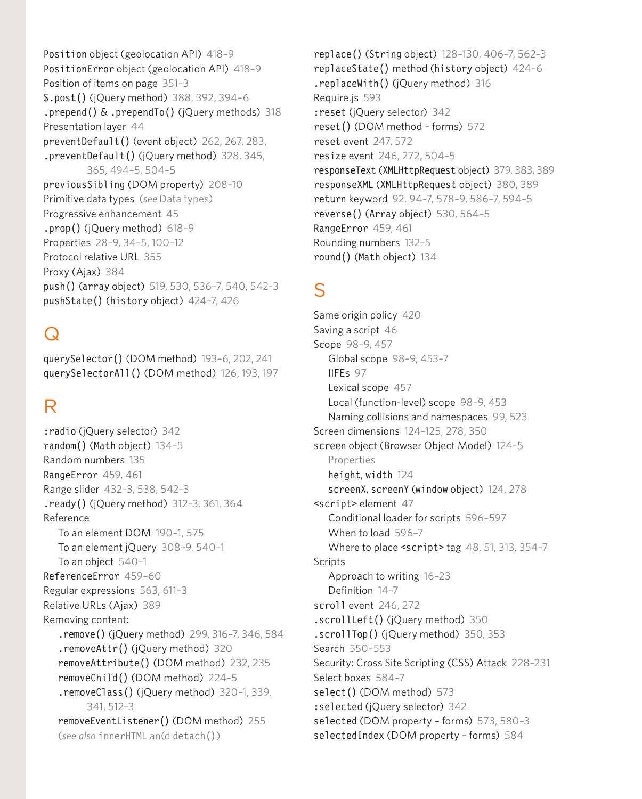Position object (geolocation API) 418-9 PositionError object (geolocation API) 418-9 Position of items on page 351–3 \$.post() (jQuery method) 388, 392, 394–6 .prepend() & .prependTo() (jQuery methods) 318 Presentation layer 44 preventDefault() (event object) 262, 267, 283, .preventDefault() (jQuery method) 328, 345, 365, 494–5, 504–5 previousSibling (DOM property) 208–10 Primitive data types (*see* Data types) Progressive enhancement 45 .prop() (jQuery method) 618–9 Properties 28–9, 34–5, 100–12 Protocol relative URL 355 Proxy (Ajax) 384 push() (array object) 519, 530, 536–7, 540, 542–3 pushState() (history object) 424–7, 426

## $\Omega$

querySelector() (DOM method) 193–6, 202, 241 querySelectorAll() (DOM method) 126, 193, 197

#### R

:radio (jQuery selector) 342 random() (Math object) 134–5 Random numbers 135 RangeError 459, 461 Range slider 432–3, 538, 542–3 .ready() (jQuery method) 312–3, 361, 364 Reference To an element DOM 190–1, 575 To an element jQuery 308–9, 540–1 To an object 540–1 ReferenceError 459–60 Regular expressions 563, 611–3 Relative URLs (Ajax) 389 Removing content: .remove() (jQuery method) 299, 316–7, 346, 584 .removeAttr() (jQuery method) 320 removeAttribute() (DOM method) 232, 235 removeChild() (DOM method) 224–5 .removeClass() (jQuery method) 320–1, 339, 341, 512–3 removeEventListener() (DOM method) 255 (*see also* innerHTML an(d detach())

replace() (String object) 128–130, 406–7, 562–3 replaceState() method (history object) 424–6 .replaceWith() (jQuery method) 316 Require.js 593 :reset (jQuery selector) 342 reset() (DOM method – forms) 572 reset event 247, 572 resize event 246, 272, 504–5 responseText (XMLHttpRequest object) 379, 383, 389 responseXML (XMLHttpRequest object) 380, 389 return keyword 92, 94–7, 578–9, 586–7, 594–5 reverse() (Array object) 530, 564–5 RangeError 459, 461 Rounding numbers 132–5 round() (Math object) 134

#### S

Same origin policy 420 Saving a script 46 Scope 98–9, 457 Global scope 98–9, 453–7 IIFEs 97 Lexical scope 457 Local (function-level) scope 98–9, 453 Naming collisions and namespaces 99, 523 Screen dimensions 124–125, 278, 350 screen object (Browser Object Model) 124–5 Properties height, width 124 screenX, screenY (window object) 124, 278 <script> element 47 Conditional loader for scripts 596–597 When to load 596–7 Where to place <script> tag 48, 51, 313, 354-7 **Scripts** Approach to writing 16–23 Definition 14–7 scroll event 246, 272 .scrollLeft() (jQuery method) 350 .scrollTop() (jQuery method) 350, 353 Search 550–553 Security: Cross Site Scripting (CSS) Attack 228–231 Select boxes 584–7 select() (DOM method) 573 :selected (jQuery selector) 342 selected (DOM property – forms) 573, 580–3

selectedIndex (DOM property – forms) 584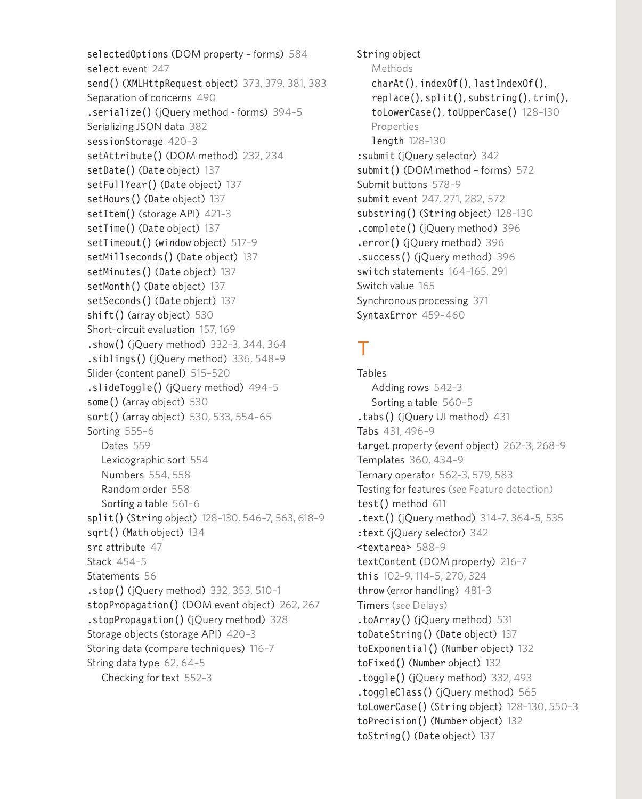selectedOptions (DOM property – forms) 584 select event 247 send() (XMLHttpRequest object) 373, 379, 381, 383 Separation of concerns 490 .serialize() (jQuery method - forms) 394–5 Serializing JSON data 382 sessionStorage 420–3 setAttribute() (DOM method) 232, 234 setDate() (Date object) 137 setFullYear() (Date object) 137 setHours() (Date object) 137 setItem() (storage API) 421-3 setTime() (Date object) 137 setTimeout() (window object) 517–9 setMillseconds() (Date object) 137 setMinutes() (Date object) 137 setMonth() (Date object) 137 setSeconds() (Date object) 137 shift() (array object) 530 Short–circuit evaluation 157, 169 .show() (jQuery method) 332–3, 344, 364  $.$ siblings $()$  (jQuery method) 336, 548-9 Slider (content panel) 515–520 .slideToggle() (jQuery method) 494–5 some() (array object) 530 sort() (array object) 530, 533, 554-65 Sorting 555–6 Dates 559 Lexicographic sort 554 Numbers 554, 558 Random order 558 Sorting a table 561–6 split() (String object) 128–130, 546–7, 563, 618–9 sqrt() (Math object) 134 src attribute 47 Stack 454–5 Statements 56 .stop() (jQuery method) 332, 353, 510–1 stopPropagation() (DOM event object) 262, 267 .stopPropagation() (jQuery method) 328 Storage objects (storage API) 420–3 Storing data (compare techniques) 116–7 String data type 62, 64–5 Checking for text 552–3

String object Methods charAt(), indexOf(), lastIndexOf(), replace(), split(), substring(), trim(), toLowerCase(), toUpperCase() 128–130 Properties length 128–130 :submit (jQuery selector) 342 submit() (DOM method – forms) 572 Submit buttons 578–9 submit event 247, 271, 282, 572 substring() (String object) 128–130 .complete() (jQuery method) 396 .error() (jQuery method) 396 .success() (jQuery method) 396 switch statements 164–165, 291 Switch value 165 Synchronous processing 371 SyntaxError 459–460

#### T

Tables Adding rows 542–3 Sorting a table 560–5 .tabs() (jQuery UI method) 431 Tabs 431, 496–9 target property (event object) 262–3, 268–9 Templates 360, 434–9 Ternary operator 562–3, 579, 583 Testing for features (*see* Feature detection) test() method 611 .text() (jQuery method) 314–7, 364–5, 535 :text (jQuery selector) 342 <textarea> 588–9 textContent (DOM property) 216–7 this 102–9, 114–5, 270, 324 throw (error handling) 481–3 Timers (*see* Delays) .toArray() (jQuery method) 531 toDateString() (Date object) 137 toExponential() (Number object) 132 toFixed() (Number object) 132 .toggle() (jQuery method) 332, 493 .toggleClass() (jQuery method) 565 toLowerCase() (String object) 128–130, 550–3 toPrecision() (Number object) 132 toString() (Date object) 137